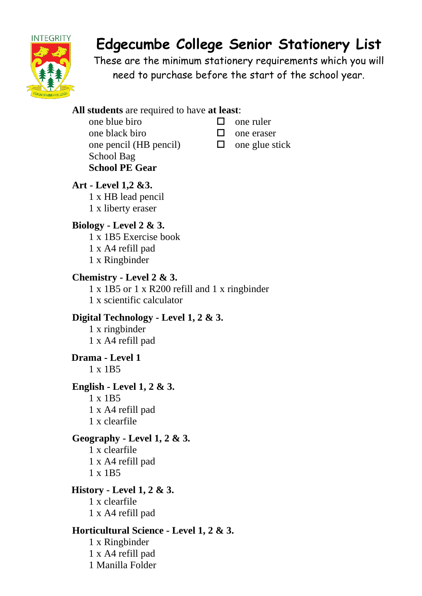

# **Edgecumbe College Senior Stationery List**

These are the minimum stationery requirements which you will need to purchase before the start of the school year.

## **All students** are required to have **at least**:

- one blue biro  $\Box$  one ruler one black biro  $\Box$  one eraser one pencil (HB pencil)  $\Box$  one glue stick School Bag **School PE Gear**
- -
	-

## **Art - Level 1,2 &3.** 1 x HB lead pencil 1 x liberty eraser

## **Biology - Level 2 & 3.**

1 x 1B5 Exercise book 1 x A4 refill pad 1 x Ringbinder

## **Chemistry - Level 2 & 3.**

1 x 1B5 or 1 x R200 refill and 1 x ringbinder 1 x scientific calculator

## **Digital Technology - Level 1, 2 & 3.**

1 x ringbinder 1 x A4 refill pad

## **Drama - Level 1** 1 x 1B5

## **English - Level 1, 2 & 3.**

1 x 1B5 1 x A4 refill pad 1 x clearfile

## **Geography - Level 1, 2 & 3.**

1 x clearfile 1 x A4 refill pad 1 x 1B5

## **History - Level 1, 2 & 3.**

1 x clearfile 1 x A4 refill pad

## **Horticultural Science - Level 1, 2 & 3.**

1 x Ringbinder 1 x A4 refill pad 1 Manilla Folder